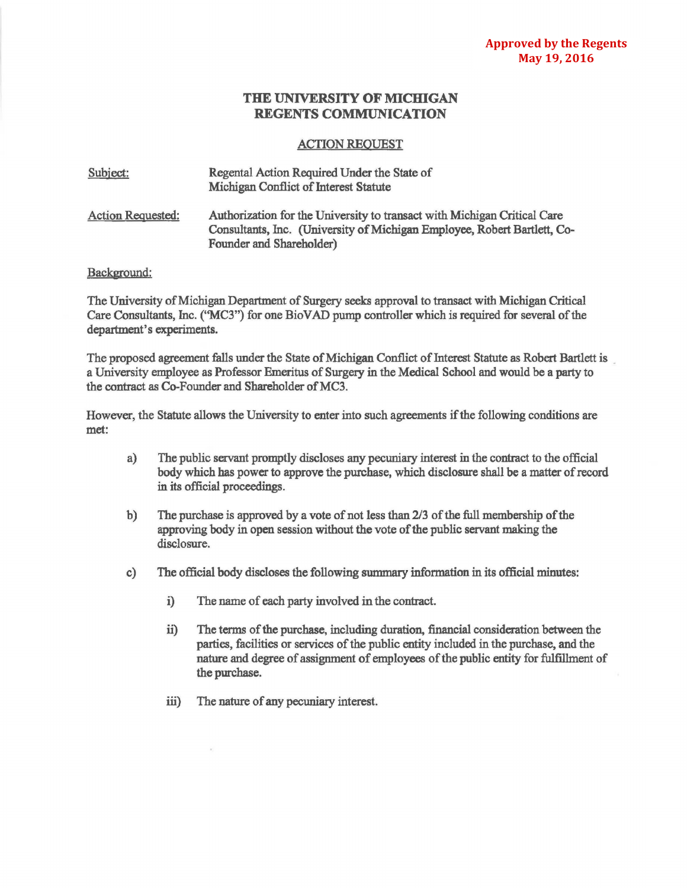## **THE UNIVERSITY OF MICHIGAN REGENTS COMMUNICATION**

## ACTION REQUEST

| Subject:                 | Regental Action Required Under the State of<br>Michigan Conflict of Interest Statute                                                                                             |
|--------------------------|----------------------------------------------------------------------------------------------------------------------------------------------------------------------------------|
| <b>Action Requested:</b> | Authorization for the University to transact with Michigan Critical Care<br>Consultants, Inc. (University of Michigan Employee, Robert Bartlett, Co-<br>Founder and Shareholder) |

## Background:

The University of Michigan Department of Surgery seeks approval to transact with Michigan Critical Care Consultants, Inc. (''MC3") for one Bio V AD pump controller which is required for several of the department's experiments.

The proposed agreement falls under the State of Michigan Conflict of Interest Statute as Robert Bartlett is a University employee as Professor Emeritus of Surgery in the Medical School and would be a party to the contract as Co-Founder and Shareholder of MC3.

However, the Statute allows the University to enter into such agreements if the following conditions are met:

- a) The public servant promptly discloses any pecuniary interest in the contract to the official body which has power to approve the purchase, which disclosure shall be a matter of record in its official proceedings.
- b) The purchase is approved by a vote of not less than 2/3 of the full membership of the approving body in open session without the vote of the public servant making the disclosure.
- c) The official body discloses the following sunnnary information in its official minutes:
	- i) The name of each party involved in the contract.
	- ii) The terms of the purchase, including duration, financial consideration between the parties, facilities or services of the public entity included in the purchase, and the nature and degree of assignment of employees of the public entity for fulfillment of the purchase.
	- iii) The nature of any pecuniary interest.